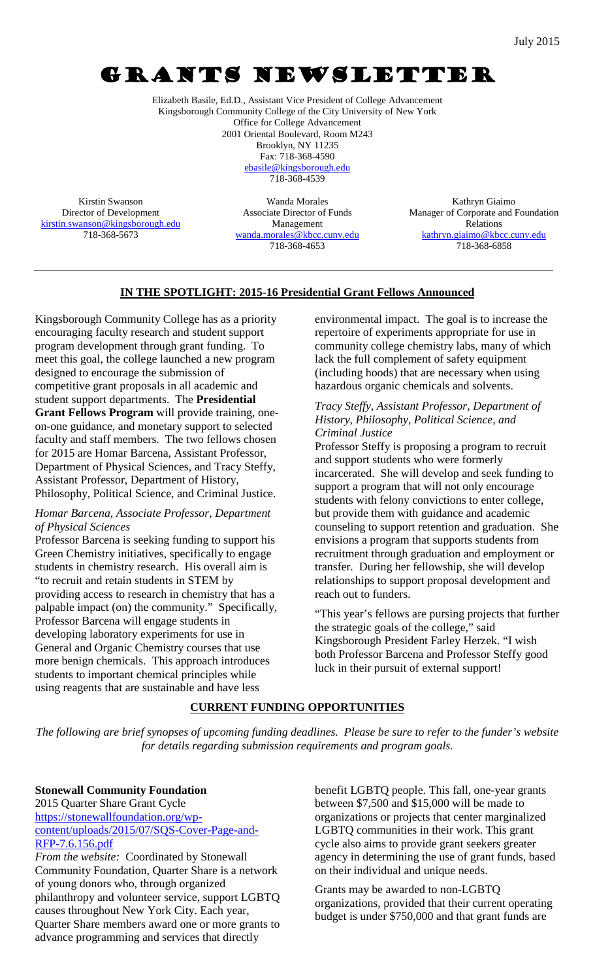# GRANTS NEWSLETTER

Elizabeth Basile, Ed.D., Assistant Vice President of College Advancement Kingsborough Community College of the City University of New York Office for College Advancement 2001 Oriental Boulevard, Room M243 Brooklyn, NY 11235 Fax: 718-368-4590

[ebasile@kingsborough.edu](mailto:ebasile@kingsborough.edu) 718-368-4539

Kirstin Swanson Director of Development [kirstin.swanson@kingsborough.edu](mailto:kirstin.swanson@kingsborough.edu) 718-368-5673

Wanda Morales Associate Director of Funds Management [wanda.morales@kbcc.cuny.edu](mailto:wanda.morales@kbcc.cuny.edu) 718-368-4653

Kathryn Giaimo Manager of Corporate and Foundation Relations [kathryn.giaimo@kbcc.cuny.edu](mailto:kathryn.giaimo@kbcc.cuny.edu) 718-368-6858

#### **IN THE SPOTLIGHT: 2015-16 Presidential Grant Fellows Announced**

Kingsborough Community College has as a priority encouraging faculty research and student support program development through grant funding. To meet this goal, the college launched a new program designed to encourage the submission of competitive grant proposals in all academic and student support departments. The **Presidential Grant Fellows Program** will provide training, oneon-one guidance, and monetary support to selected faculty and staff members. The two fellows chosen for 2015 are Homar Barcena, Assistant Professor, Department of Physical Sciences, and Tracy Steffy, Assistant Professor, Department of History, Philosophy, Political Science, and Criminal Justice.

#### *Homar Barcena, Associate Professor, Department of Physical Sciences*

Professor Barcena is seeking funding to support his Green Chemistry initiatives, specifically to engage students in chemistry research. His overall aim is "to recruit and retain students in STEM by providing access to research in chemistry that has a palpable impact (on) the community." Specifically, Professor Barcena will engage students in developing laboratory experiments for use in General and Organic Chemistry courses that use more benign chemicals. This approach introduces students to important chemical principles while using reagents that are sustainable and have less

environmental impact. The goal is to increase the repertoire of experiments appropriate for use in community college chemistry labs, many of which lack the full complement of safety equipment (including hoods) that are necessary when using hazardous organic chemicals and solvents.

#### *Tracy Steffy, Assistant Professor, Department of History, Philosophy, Political Science, and Criminal Justice*

Professor Steffy is proposing a program to recruit and support students who were formerly incarcerated. She will develop and seek funding to support a program that will not only encourage students with felony convictions to enter college, but provide them with guidance and academic counseling to support retention and graduation. She envisions a program that supports students from recruitment through graduation and employment or transfer. During her fellowship, she will develop relationships to support proposal development and reach out to funders.

"This year's fellows are pursing projects that further the strategic goals of the college," said Kingsborough President Farley Herzek. "I wish both Professor Barcena and Professor Steffy good luck in their pursuit of external support!

### **CURRENT FUNDING OPPORTUNITIES**

*The following are brief synopses of upcoming funding deadlines. Please be sure to refer to the funder's website for details regarding submission requirements and program goals.*

**Stonewall Community Foundation** 2015 Quarter Share Grant Cycle [https://stonewallfoundation.org/wp](https://stonewallfoundation.org/wp-content/uploads/2015/07/SQS-Cover-Page-and-RFP-7.6.156.pdf)[content/uploads/2015/07/SQS-Cover-Page-and-](https://stonewallfoundation.org/wp-content/uploads/2015/07/SQS-Cover-Page-and-RFP-7.6.156.pdf)[RFP-7.6.156.pdf](https://stonewallfoundation.org/wp-content/uploads/2015/07/SQS-Cover-Page-and-RFP-7.6.156.pdf)

*From the website:* Coordinated by Stonewall Community Foundation, Quarter Share is a network of young donors who, through organized philanthropy and volunteer service, support LGBTQ causes throughout New York City. Each year, Quarter Share members award one or more grants to advance programming and services that directly

benefit LGBTQ people. This fall, one-year grants between \$7,500 and \$15,000 will be made to organizations or projects that center marginalized LGBTQ communities in their work. This grant cycle also aims to provide grant seekers greater agency in determining the use of grant funds, based on their individual and unique needs.

Grants may be awarded to non-LGBTQ organizations, provided that their current operating budget is under \$750,000 and that grant funds are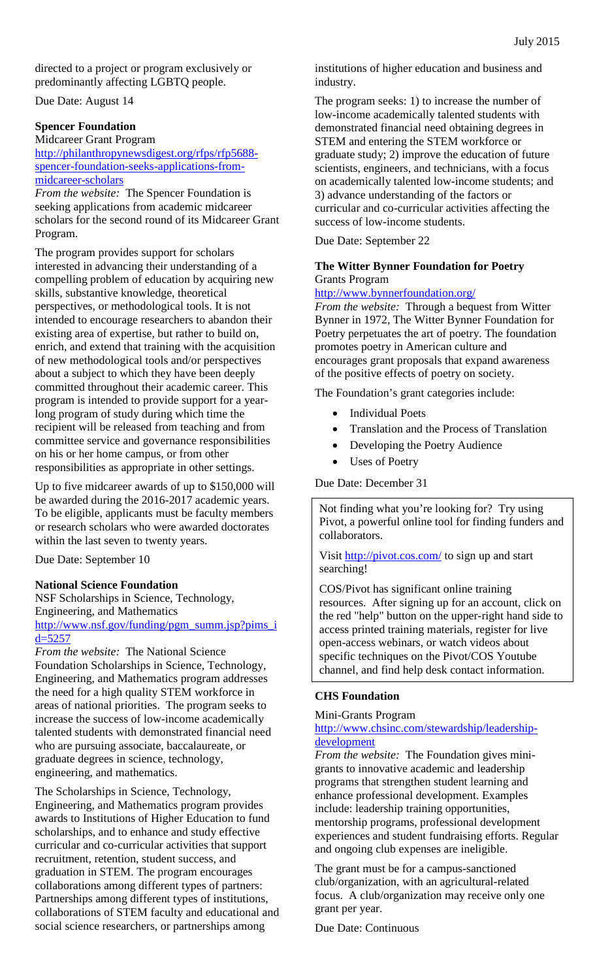directed to a project or program exclusively or predominantly affecting LGBTQ people.

Due Date: August 14

#### **Spencer Foundation**

Midcareer Grant Program [http://philanthropynewsdigest.org/rfps/rfp5688](http://philanthropynewsdigest.org/rfps/rfp5688-spencer-foundation-seeks-applications-from-midcareer-scholars) [spencer-foundation-seeks-applications-from](http://philanthropynewsdigest.org/rfps/rfp5688-spencer-foundation-seeks-applications-from-midcareer-scholars)[midcareer-scholars](http://philanthropynewsdigest.org/rfps/rfp5688-spencer-foundation-seeks-applications-from-midcareer-scholars)

*From the website:* The Spencer Foundation is seeking applications from academic midcareer scholars for the second round of its Midcareer Grant Program.

The program provides support for scholars interested in advancing their understanding of a compelling problem of education by acquiring new skills, substantive knowledge, theoretical perspectives, or methodological tools. It is not intended to encourage researchers to abandon their existing area of expertise, but rather to build on, enrich, and extend that training with the acquisition of new methodological tools and/or perspectives about a subject to which they have been deeply committed throughout their academic career. This program is intended to provide support for a yearlong program of study during which time the recipient will be released from teaching and from committee service and governance responsibilities on his or her home campus, or from other responsibilities as appropriate in other settings.

Up to five midcareer awards of up to \$150,000 will be awarded during the 2016-2017 academic years. To be eligible, applicants must be faculty members or research scholars who were awarded doctorates within the last seven to twenty years.

Due Date: September 10

#### **National Science Foundation**

NSF Scholarships in Science, Technology, Engineering, and Mathematics http://www.nsf.gov/funding/pgm\_summ.jsp?pims\_i d=5257

*From the website:* The National Science Foundation Scholarships in Science, Technology, Engineering, and Mathematics program addresses the need for a high quality STEM workforce in areas of national priorities. The program seeks to increase the success of low-income academically talented students with demonstrated financial need who are pursuing associate, baccalaureate, or graduate degrees in science, technology, engineering, and mathematics.

The Scholarships in Science, Technology, Engineering, and Mathematics program provides awards to Institutions of Higher Education to fund scholarships, and to enhance and study effective curricular and co-curricular activities that support recruitment, retention, student success, and graduation in STEM. The program encourages collaborations among different types of partners: Partnerships among different types of institutions, collaborations of STEM faculty and educational and social science researchers, or partnerships among

institutions of higher education and business and industry.

The program seeks: 1) to increase the number of low-income academically talented students with demonstrated financial need obtaining degrees in STEM and entering the STEM workforce or graduate study; 2) improve the education of future scientists, engineers, and technicians, with a focus on academically talented low-income students; and 3) advance understanding of the factors or curricular and co-curricular activities affecting the success of low-income students.

Due Date: September 22

#### **The Witter Bynner Foundation for Poetry** Grants Program

#### <http://www.bynnerfoundation.org/>

*From the website:* Through a bequest from Witter Bynner in 1972, The Witter Bynner Foundation for Poetry perpetuates the art of poetry. The foundation promotes poetry in American culture and encourages grant proposals that expand awareness of the positive effects of poetry on society.

The Foundation's grant categories include:

- **Individual Poets**
- Translation and the Process of Translation
- Developing the Poetry Audience
- Uses of Poetry

#### Due Date: December 31

Not finding what you're looking for? Try using Pivot, a powerful online tool for finding funders and collaborators.

Visit<http://pivot.cos.com/> to sign up and start searching!

COS/Pivot has significant online training resources. After signing up for an account, click on the red "help" button on the upper-right hand side to access printed training materials, register for live open-access webinars, or watch videos about specific techniques on the Pivot/COS Youtube channel, and find help desk contact information.

### **CHS Foundation**

#### Mini-Grants Program http://www.chsinc.com/stewardship/leadershipdevelopment

*From the website:* The Foundation gives minigrants to innovative academic and leadership programs that strengthen student learning and enhance professional development. Examples include: leadership training opportunities, mentorship programs, professional development experiences and student fundraising efforts. Regular and ongoing club expenses are ineligible.

The grant must be for a campus-sanctioned club/organization, with an agricultural-related focus. A club/organization may receive only one grant per year.

Due Date: Continuous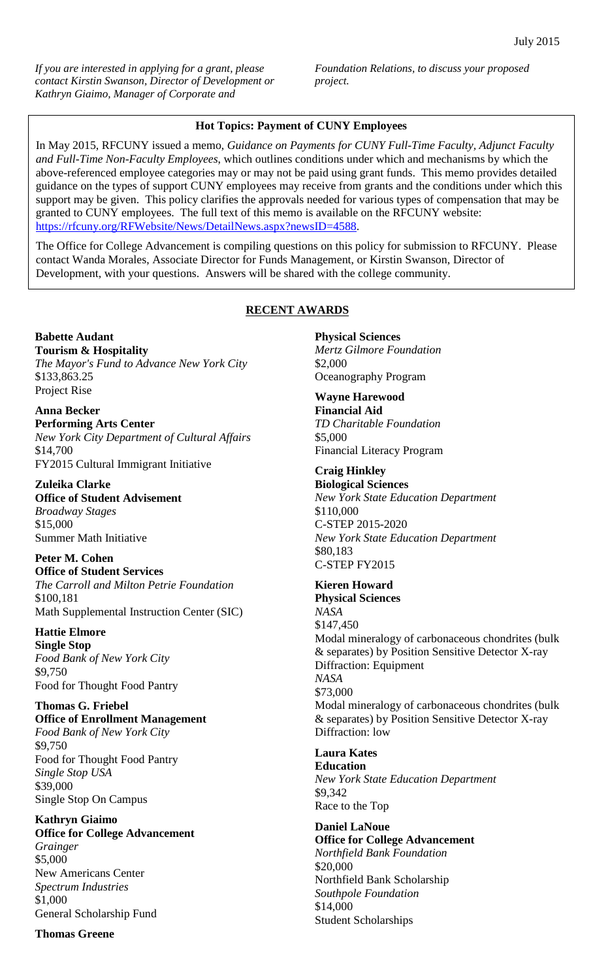*If you are interested in applying for a grant, please contact Kirstin Swanson, Director of Development or Kathryn Giaimo, Manager of Corporate and* 

*Foundation Relations, to discuss your proposed project.*

#### **Hot Topics: Payment of CUNY Employees**

In May 2015, RFCUNY issued a memo, *Guidance on Payments for CUNY Full-Time Faculty, Adjunct Faculty and Full-Time Non-Faculty Employees*, which outlines conditions under which and mechanisms by which the above-referenced employee categories may or may not be paid using grant funds. This memo provides detailed guidance on the types of support CUNY employees may receive from grants and the conditions under which this support may be given. This policy clarifies the approvals needed for various types of compensation that may be granted to CUNY employees. The full text of this memo is available on the RFCUNY website: [https://rfcuny.org/RFWebsite/News/DetailNews.aspx?newsID=4588.](https://rfcuny.org/RFWebsite/News/DetailNews.aspx?newsID=4588)

The Office for College Advancement is compiling questions on this policy for submission to RFCUNY. Please contact Wanda Morales, Associate Director for Funds Management, or Kirstin Swanson, Director of Development, with your questions. Answers will be shared with the college community.

#### **RECENT AWARDS**

**Babette Audant Tourism & Hospitality** *The Mayor's Fund to Advance New York City* \$133,863.25 Project Rise

**Anna Becker Performing Arts Center** *New York City Department of Cultural Affairs* \$14,700 FY2015 Cultural Immigrant Initiative

**Zuleika Clarke Office of Student Advisement** *Broadway Stages* \$15,000 Summer Math Initiative

**Peter M. Cohen Office of Student Services** *The Carroll and Milton Petrie Foundation* \$100,181 Math Supplemental Instruction Center (SIC)

**Hattie Elmore Single Stop** *Food Bank of New York City* \$9,750 Food for Thought Food Pantry

**Thomas G. Friebel Office of Enrollment Management** *Food Bank of New York City* \$9,750 Food for Thought Food Pantry *Single Stop USA* \$39,000 Single Stop On Campus

**Kathryn Giaimo Office for College Advancement** *Grainger* \$5,000 New Americans Center *Spectrum Industries* \$1,000 General Scholarship Fund

**Thomas Greene**

**Physical Sciences** *Mertz Gilmore Foundation* \$2,000 Oceanography Program

**Wayne Harewood Financial Aid** *TD Charitable Foundation* \$5,000 Financial Literacy Program

**Craig Hinkley Biological Sciences** *New York State Education Department* \$110,000 C-STEP 2015-2020 *New York State Education Department* \$80,183 C-STEP FY2015

**Kieren Howard Physical Sciences** *NASA* \$147,450 Modal mineralogy of carbonaceous chondrites (bulk & separates) by Position Sensitive Detector X-ray Diffraction: Equipment *NASA* \$73,000 Modal mineralogy of carbonaceous chondrites (bulk & separates) by Position Sensitive Detector X-ray Diffraction: low

**Laura Kates Education** *New York State Education Department* \$9,342 Race to the Top

**Daniel LaNoue Office for College Advancement** *Northfield Bank Foundation* \$20,000 Northfield Bank Scholarship *Southpole Foundation* \$14,000 Student Scholarships